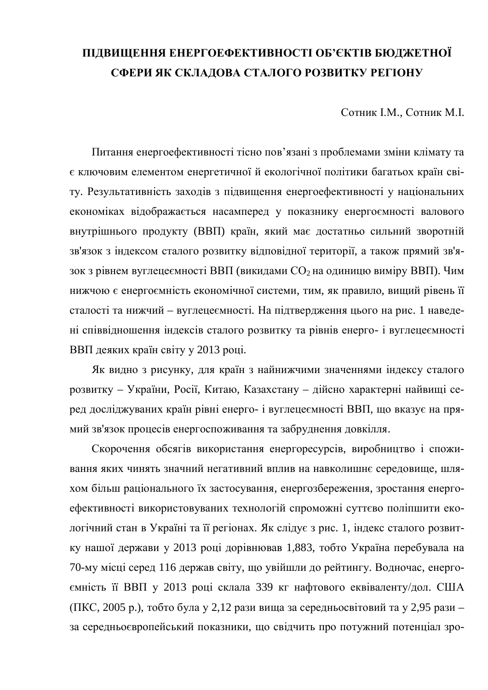## ПІДВИЩЕННЯ ЕНЕРГОЕФЕКТИВНОСТІ ОБ'ЄКТІВ БЮДЖЕТНОЇ СФЕРИ ЯК СКЛАДОВА СТАЛОГО РОЗВИТКУ РЕГІОНУ

Сотник I.M., Сотник М.I.

Питання енергоефективності тісно пов'язані з проблемами зміни клімату та € КЛЮЧОВИМ ЕЛЕМЕНТОМ ЕНЕРГЕТИЧНОЇ Й ЕКОЛОГІЧНОЇ ПОЛІТИКИ багатьох країн світу. Результативність заходів з підвищення енергоефективності у національних економіках відображається насамперед у показнику енергоємності валового внутрішнього продукту (ВВП) країн, який має достатньо сильний зворотній зв'язок з індексом сталого розвитку відповідної території, а також прямий зв'язок з рівнем вуглецеємності ВВП (викидами  $CO<sub>2</sub>$ на одиницю виміру ВВП). Чим нижчою є енергоємність економічної системи, тим, як правило, вищий рівень її сталості та нижчий – вуглецеємності. На підтвердження цього на рис. 1 наведені співвідношення індексів сталого розвитку та рівнів енерго- і вуглецеємності ВВП деяких країн світу у 2013 році.

Як видно з рисунку, для країн з найнижчими значеннями індексу сталого розвитку – України, Росії, Китаю, Казахстану – дійсно характерні найвищі серед досліджуваних країн рівні енерго- і вуглецеємності ВВП, що вказує на прямий зв'язок процесів енергоспоживання та забруднення довкілля.

Скорочення обсягів використання енергоресурсів, виробництво і споживання яких чинять значний негативний вплив на навколишнє середовище, шляхом більш раціонального їх застосування, енергозбереження, зростання енергоефективності використовуваних технологій спроможні суттєво поліпшити екологічний стан в Україні та її регіонах. Як слідує з рис. 1, індекс сталого розвитку нашої держави у 2013 році дорівнював 1,883, тобто Україна перебувала на 70-му місці серед 116 держав світу, що увійшли до рейтингу. Водночас, енергоємність її ВВП у 2013 році склала 339 кг нафтового еквіваленту/дол. США (ПКС, 2005 р.), тобто була у 2,12 рази вища за середньосвітовий та у 2,95 рази – за середньоєвропейський показники, що свідчить про потужний потенціал зро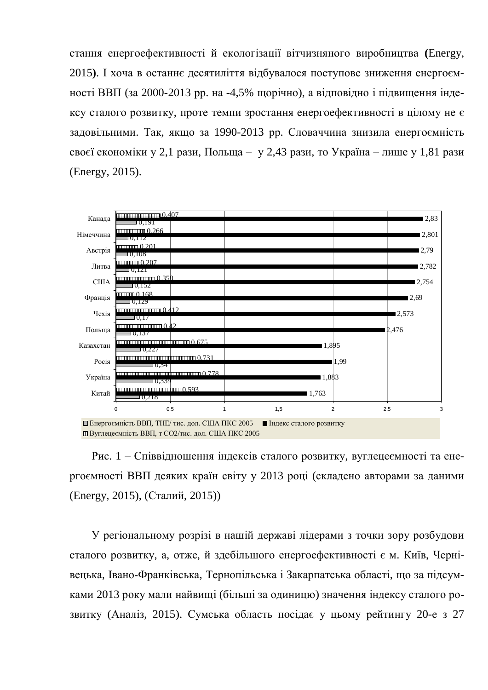стання енергоефективності й екологізації вітчизняного виробництва (Energy, 2015). І хоча в останнє десятиліття відбувалося поступове зниження енергоємності ВВП (за 2000-2013 рр. на -4,5% щорічно), а відповідно і підвищення індексу сталого розвитку, проте темпи зростання енергоефективності в цілому не є задовільними. Так, якщо за 1990-2013 рр. Словаччина знизила енергоємність своєї економіки у 2,1 рази, Польща – у 2,43 рази, то Україна – лише у 1,81 рази (Energy, 2015).



Рис. 1 – Співвілношення індексів сталого розвитку, вуглецеємності та енергоємності ВВП деяких країн світу у 2013 році (складено авторами за даними (Energy, 2015), (Сталий, 2015))

У регіональному розрізі в нашій державі лідерами з точки зору розбудови сталого розвитку, а, отже, й здебільшого енергоефективності є м. Київ, Чернівецька, Івано-Франківська, Тернопільська і Закарпатська області, що за підсумками 2013 року мали найвищі (більші за одиницю) значення індексу сталого розвитку (Аналіз, 2015). Сумська область посідає у цьому рейтингу 20-е з 27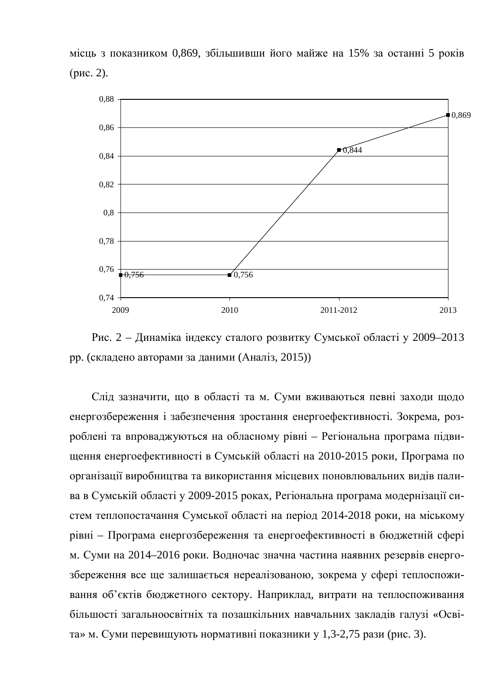місць з показником 0,869, збільшивши його майже на 15% за останні 5 років  $(pnc. 2)$ .



Рис. 2 – Динаміка індексу сталого розвитку Сумської області у 2009–2013 рр. (складено авторами за даними (Аналіз, 2015))

Слід зазначити, що в області та м. Суми вживаються певні заходи щодо енергозбереження і забезпечення зростання енергоефективності. Зокрема, розроблені та впроваджуються на обласному рівні – Регіональна програма підвищення енергоефективності в Сумській області на 2010-2015 роки, Програма по організації виробництва та використання місцевих поновлювальних видів палива в Сумській області у 2009-2015 роках, Регіональна програма модернізації систем теплопостачання Сумської області на період 2014-2018 роки, на міському рівні – Програма енергозбереження та енергоефективності в бюджетній сфері м. Суми на 2014–2016 роки. Водночас значна частина наявних резервів енергозбереження все ще залишається нереалізованою, зокрема у сфері теплоспоживання об'єктів бюджетного сектору. Наприклад, витрати на теплоспоживання більшості загальноосвітніх та позашкільних навчальних закладів галузі «Освіта» м. Суми перевищують нормативні показники у 1,3-2,75 рази (рис. 3).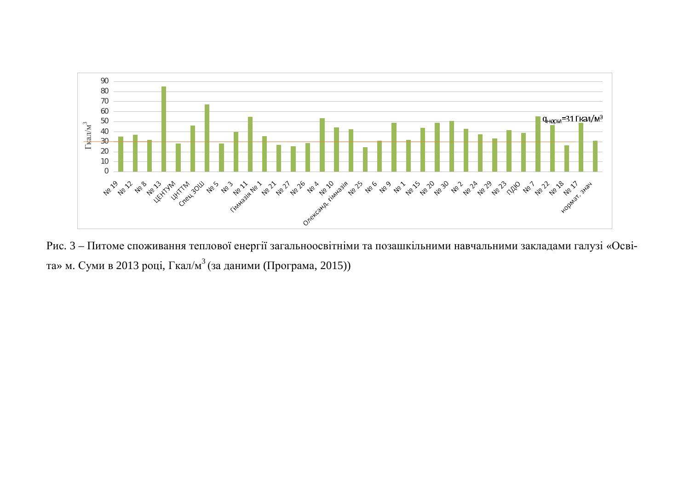

Рис. 3 – Питоме споживання теплової енергії загальноосвітніми та позашкільними навчальними закладами галузі «Освіта» м. Суми в 2013 році, Гкал/м $^3$ (за даними (Програма, 2015))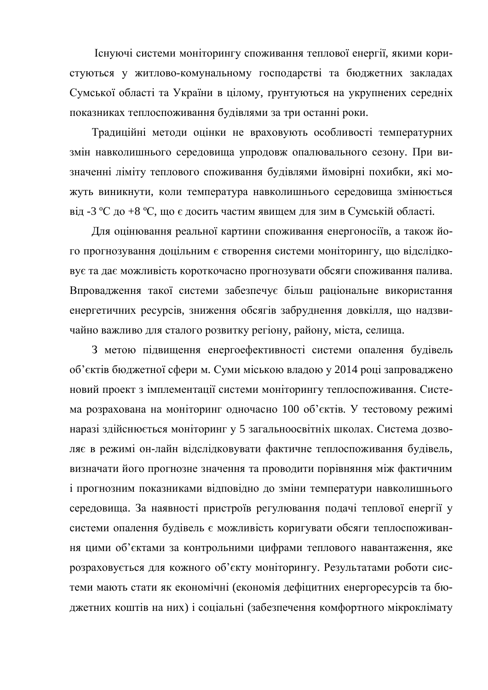Існуючі системи моніторингу споживання теплової енергії, якими користуються у житлово-комунальному господарстві та бюджетних закладах Сумської області та України в цілому, ґрунтуються на укрупнених середніх показниках теплоспоживання будівлями за три останні роки.

Традиційні методи оцінки не враховують особливості температурних змін навколишнього середовища упродовж опалювального сезону. При визначенні ліміту теплового споживання будівлями ймовірні похибки, які можуть виникнути, коли температура навколишнього середовища змінюється від -3 °С до +8 °С, що є досить частим явищем для зим в Сумській області.

Для оцінювання реальної картини споживання енергоносіїв, а також його прогнозування доцільним є створення системи моніторингу, що відслідковує та дає можливість короткочасно прогнозувати обсяги споживання палива. Впровадження такої системи забезпечує більш раціональне використання енергетичних ресурсів, зниження обсягів забруднення довкілля, що надзвичайно важливо для сталого розвитку регіону, району, міста, селища.

З метою підвищення енергоефективності системи опалення будівель об'єктів бюджетної сфери м. Суми міською владою у 2014 році запроваджено новий проект з імплементації системи моніторингу теплоспоживання. Система розрахована на моніторинг одночасно 100 об'єктів. У тестовому режимі наразі здійснюється моніторинг у 5 загальноосвітніх школах. Система дозволяє в режимі он-лайн відслідковувати фактичне теплоспоживання будівель, визначати його прогнозне значення та проводити порівняння між фактичним і прогнозним показниками відповідно до зміни температури навколишнього середовища. За наявності пристроїв регулювання подачі теплової енергії у системи опалення будівель є можливість коригувати обсяги теплоспоживання цими об'єктами за контрольними цифрами теплового навантаження, яке розраховується для кожного об'єкту моніторингу. Результатами роботи системи мають стати як економічні (економія дефіцитних енергоресурсів та бюджетних коштів на них) і соціальні (забезпечення комфортного мікроклімату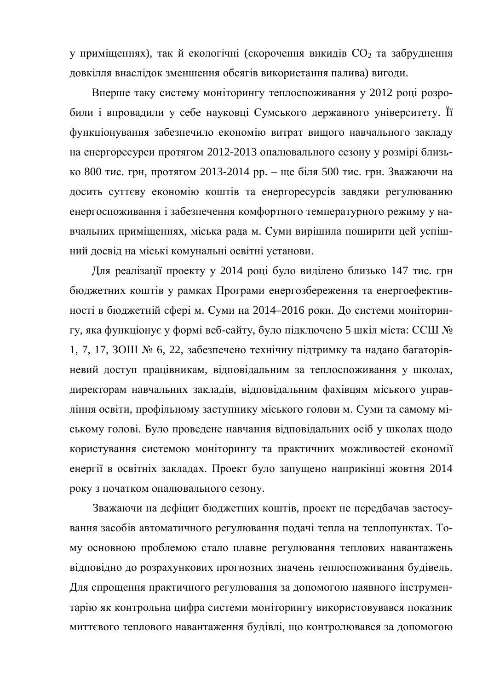у приміщеннях), так й екологічні (скорочення викидів СО<sub>2</sub> та забруднення довкілля внаслідок зменшення обсягів використання палива) вигоди.

Вперше таку систему моніторингу теплоспоживання у 2012 році розробили *і* впровадили у себе науковці Сумського державного університету. Її функціонування забезпечило економію витрат вищого навчального закладу на енергоресурси протягом 2012-2013 опалювального сезону у розмірі близько 800 тис. грн, протягом 2013-2014 рр. – ще біля 500 тис. грн. Зважаючи на досить суттєву економію коштів та енергоресурсів завдяки регулюванню енергоспоживання і забезпечення комфортного температурного режиму у навчальних приміщеннях, міська рада м. Суми вирішила поширити цей успішний досвід на міські комунальні освітні установи.

Для реалізації проекту у 2014 році було виділено близько 147 тис. грн бюджетних коштів у рамках Програми енергозбереження та енергоефективності в бюджетній сфері м. Суми на 2014–2016 роки. До системи моніторингу, яка функціонує у формі веб-сайту, було підключено 5 шкіл міста: ССШ № 1, 7, 17, ЗОШ № 6, 22, забезпечено технічну підтримку та надано багаторівневий доступ працівникам, відповідальним за теплоспоживання у школах, директорам навчальних закладів, відповідальним фахівцям міського управління освіти, профільному заступнику міського голови м. Суми та самому міському голові. Було проведене навчання відповідальних осіб у школах щодо користування системою моніторингу та практичних можливостей економії енергії в освітніх закладах. Проект було запущено наприкінці жовтня 2014 року з початком опалювального сезону.

Зважаючи на дефіцит бюджетних коштів, проект не передбачав застосування засобів автоматичного регулювання подачі тепла на теплопунктах. Тому основною проблемою стало плавне регулювання теплових навантажень відповідно до розрахункових прогнозних значень теплоспоживання будівель. Для спрощення практичного регулювання за допомогою наявного інструментарію як контрольна цифра системи моніторингу використовувався показник миттєвого теплового навантаження будівлі, що контролювався за допомогою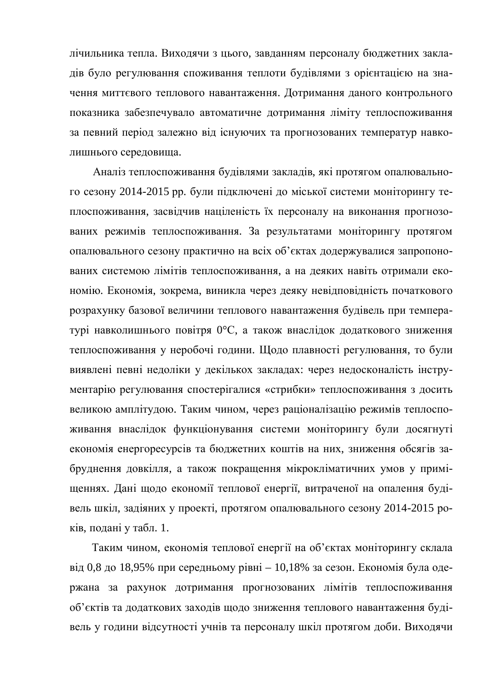лічильника тепла. Виходячи з цього, завданням персоналу бюджетних закладів було регулювання споживання теплоти будівлями з орієнтацією на значення миттєвого теплового навантаження. Дотримання даного контрольного показника забезпечувало автоматичне дотримання ліміту теплоспоживання за певний період залежно від існуючих та прогнозованих температур навколишнього середовища.

Аналіз теплоспоживання будівлями закладів, які протягом опалювального сезону 2014-2015 рр. були підключені до міської системи моніторингу теплоспоживання, засвідчив націленість їх персоналу на виконання прогнозованих режимів теплоспоживання. За результатами моніторингу протягом опалювального сезону практично на всіх об'єктах додержувалися запропонованих системою лімітів теплоспоживання, а на деяких навіть отримали економію. Економія, зокрема, виникла через деяку невідповідність початкового розрахунку базової величини теплового навантаження будівель при температурі навколишнього повітря 0°С, а також внаслідок додаткового зниження теплоспоживання у неробочі години. Щодо плавності регулювання, то були виявлені певні недоліки у декількох закладах: через недосконалість інструментарію регулювання спостерігалися «стрибки» теплоспоживання з досить великою амплітудою. Таким чином, через раціоналізацію режимів теплоспоживання внаслідок функціонування системи моніторингу були досягнуті економія енергоресурсів та бюджетних коштів на них, зниження обсягів забруднення довкілля, а також покращення мікрокліматичних умов у приміщеннях. Дані щодо економії теплової енергії, витраченої на опалення будівель шкіл, задіяних у проекті, протягом опалювального сезону 2014-2015 років, подані у табл. 1.

Таким чином, економія теплової енергії на об'єктах моніторингу склала від 0,8 до 18,95% при середньому рівні – 10,18% за сезон. Економія була одержана за рахунок дотримання прогнозованих лімітів теплоспоживання об'єктів та додаткових заходів щодо зниження теплового навантаження будівель у години відсутності учнів та персоналу шкіл протягом доби. Виходячи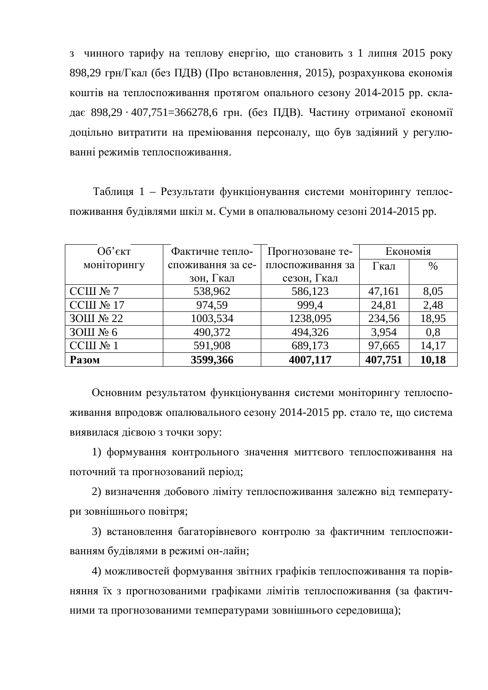з чинного тарифу на теплову енергію, що становить з 1 липня 2015 року 898,29 грн/Гкал (без ПДВ) (Про встановлення, 2015), розрахункова економія коштів на теплоспоживання протягом опального сезону 2014-2015 рр. складає 898,29 · 407,751=366278,6 грн. (без ПДВ). Частину отриманої економії доцільно витратити на преміювання персоналу, що був задіяний у регулюванні режимів теплоспоживання.

Таблиця 1 – Результати функціонування системи моніторингу теплоспоживання будівлями шкіл м. Суми в опалювальному сезоні 2014-2015 рр.

| $O6$ 'єкт    | Фактичне тепло-   | Прогнозоване те- | Економія |       |
|--------------|-------------------|------------------|----------|-------|
| моніторингу  | споживання за се- | плоспоживання за | Гкал     | $\%$  |
|              | зон, Гкал         | сезон, Гкал      |          |       |
| CCIII $N2$ 7 | 538,962           | 586,123          | 47,161   | 8,05  |
| CCIII № 17   | 974,59            | 999,4            | 24,81    | 2,48  |
| 3ОШ № 22     | 1003,534          | 1238,095         | 234,56   | 18,95 |
| 3ОШ № 6      | 490,372           | 494,326          | 3,954    | 0,8   |
| CCШ № 1      | 591,908           | 689,173          | 97,665   | 14,17 |
| <b>Разом</b> | 3599,366          | 4007,117         | 407,751  | 10,18 |

Основним результатом функціонування системи моніторингу теплоспоживання впродовж опалювального сезону 2014-2015 рр. стало те, що система виявилася дієвою з точки зору:

1) формування контрольного значення миттєвого теплоспоживання на поточний та прогнозований період;

2) визначення добового ліміту теплоспоживання залежно від температури зовнішнього повітря;

3) встановлення багаторівневого контролю за фактичним теплоспоживанням будівлями в режимі он-лайн;

4) можливостей формування звітних графіків теплоспоживання та порівняння їх з прогнозованими графіками лімітів теплоспоживання (за фактичними та прогнозованими температурами зовнішнього середовища);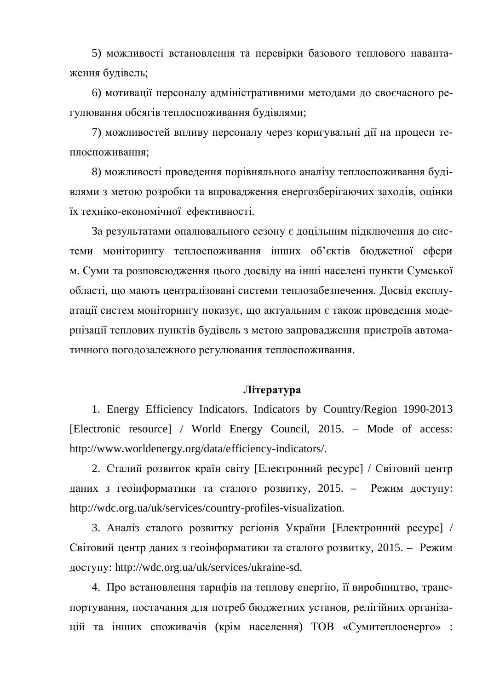5) можливості встановлення та перевірки базового теплового навантаження будівель;

6) мотивації персоналу адміністративними методами до своєчасного регулювання обсягів теплоспоживання будівлями;

7) можливостей впливу персоналу через коригувальні дії на процеси теплоспоживання;

8) можливості проведення порівняльного аналізу теплоспоживання будівлями з метою розробки та впровадження енергозберігаючих заходів, оцінки їх техніко-економічної ефективності.

За результатами опалювального сезону є доцільним підключення до системи моніторингу теплоспоживання інших об'єктів бюджетної сфери м. Суми та розповсюдження цього досвіду на інші населені пункти Сумської області, що мають централізовані системи теплозабезпечення. Досвід експлуатації систем моніторингу показує, що актуальним є також проведення модернізації теплових пунктів будівель з метою запровадження пристроїв автоматичного погодозалежного регулювання теплоспоживання.

## **Jireparypa**

1. Energy Efficiency Indicators. Indicators by Country/Region 1990-2013 [Electronic resource] / World Energy Council, 2015. – Mode of access: [http://www.worldenergy.org/data/efficiency-indicators/.](http://:@www.worldenergy.org/data/efficiency-indicators/.)

2. Сталий розвиток країн світу [Електронний ресурс] / Світовий центр даних з геонформатики та сталого розвитку, 2015. – Режим доступу: [http://wdc.org.ua/uk/services/country-profiles-visualization.](http://:@wdc.org.ua/uk/services/country-profiles-visualization.)

3. Аналіз сталого розвитку регіонів України [Електронний ресурс] / Світовий центр даних з геоінформатики та сталого розвитку, 2015. – Режим ɞɨɫɬɭɩɭ: [http://wdc.org.ua/uk/services/ukraine-sd.](http://:@wdc.org.ua/uk/services/ukraine-sd.)

4. Про встановлення тарифів на теплову енергію, її виробництво, транспортування, постачання для потреб бюджетних установ, релігійних організацій та інших споживачів (крім населення) ТОВ «Сумитеплоенерго» :